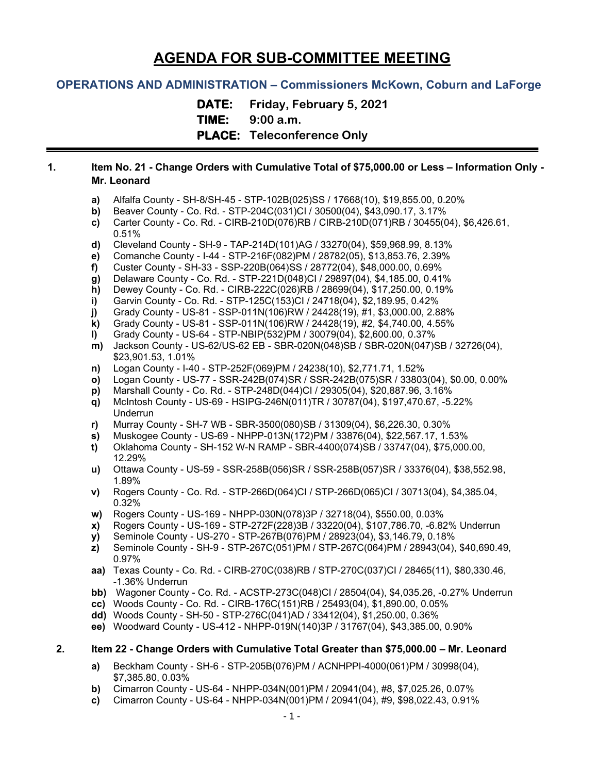# **AGENDA FOR SUB-COMMITTEE MEETING**

## **OPERATIONS AND ADMINISTRATION – Commissioners McKown, Coburn and LaForge**

**DATE: Friday, February 5, 2021 TIME: 9:00 a.m. PLACE: Teleconference Only**

#### **1. Item No. 21 - Change Orders with Cumulative Total of \$75,000.00 or Less – Information Only - Mr. Leonard**

- **a)** Alfalfa County SH-8/SH-45 STP-102B(025)SS / 17668(10), \$19,855.00, 0.20%
- **b)** Beaver County Co. Rd. STP-204C(031)CI / 30500(04), \$43,090.17, 3.17%
- **c)** Carter County Co. Rd. CIRB-210D(076)RB / CIRB-210D(071)RB / 30455(04), \$6,426.61, 0.51%
- **d)** Cleveland County SH-9 TAP-214D(101)AG / 33270(04), \$59,968.99, 8.13%
- **e)** Comanche County I-44 STP-216F(082)PM / 28782(05), \$13,853.76, 2.39%
- **f)** Custer County SH-33 SSP-220B(064)SS / 28772(04), \$48,000.00, 0.69%
- **g)** Delaware County Co. Rd. STP-221D(048)CI / 29897(04), \$4,185.00, 0.41%
- **h)** Dewey County Co. Rd. CIRB-222C(026)RB / 28699(04), \$17,250.00, 0.19%
- **i)** Garvin County Co. Rd. STP-125C(153)CI / 24718(04), \$2,189.95, 0.42%
- **j)** Grady County US-81 SSP-011N(106)RW / 24428(19), #1, \$3,000.00, 2.88%
- **k)** Grady County US-81 SSP-011N(106)RW / 24428(19), #2, \$4,740.00, 4.55%
- **l)** Grady County US-64 STP-NBIP(532)PM / 30079(04), \$2,600.00, 0.37%
- **m)** Jackson County US-62/US-62 EB SBR-020N(048)SB / SBR-020N(047)SB / 32726(04), \$23,901.53, 1.01%
- **n)** Logan County I-40 STP-252F(069)PM / 24238(10), \$2,771.71, 1.52%
- **o)** Logan County US-77 SSR-242B(074)SR / SSR-242B(075)SR / 33803(04), \$0.00, 0.00%
- **p)** Marshall County Co. Rd. STP-248D(044)CI / 29305(04), \$20,887.96, 3.16%
- **q)** McIntosh County US-69 HSIPG-246N(011)TR / 30787(04), \$197,470.67, -5.22% Underrun
- **r)** Murray County SH-7 WB SBR-3500(080)SB / 31309(04), \$6,226.30, 0.30%
- **s)** Muskogee County US-69 NHPP-013N(172)PM / 33876(04), \$22,567.17, 1.53%
- **t)** Oklahoma County SH-152 W-N RAMP SBR-4400(074)SB / 33747(04), \$75,000.00, 12.29%
- **u)** Ottawa County US-59 SSR-258B(056)SR / SSR-258B(057)SR / 33376(04), \$38,552.98, 1.89%
- **v)** Rogers County Co. Rd. STP-266D(064)CI / STP-266D(065)CI / 30713(04), \$4,385.04, 0.32%
- **w)** Rogers County US-169 NHPP-030N(078)3P / 32718(04), \$550.00, 0.03%
- **x)** Rogers County US-169 STP-272F(228)3B / 33220(04), \$107,786.70, -6.82% Underrun
- **y)** Seminole County US-270 STP-267B(076)PM / 28923(04), \$3,146.79, 0.18%
- **z)** Seminole County SH-9 STP-267C(051)PM / STP-267C(064)PM / 28943(04), \$40,690.49, 0.97%
- **aa)** Texas County Co. Rd. CIRB-270C(038)RB / STP-270C(037)CI / 28465(11), \$80,330.46, -1.36% Underrun
- **bb)** Wagoner County Co. Rd. ACSTP-273C(048)CI / 28504(04), \$4,035.26, -0.27% Underrun
- **cc)** Woods County Co. Rd. CIRB-176C(151)RB / 25493(04), \$1,890.00, 0.05%
- **dd)** Woods County SH-50 STP-276C(041)AD / 33412(04), \$1,250.00, 0.36%
- **ee)** Woodward County US-412 NHPP-019N(140)3P / 31767(04), \$43,385.00, 0.90%

#### **2. Item 22 - Change Orders with Cumulative Total Greater than \$75,000.00 – Mr. Leonard**

- **a)** Beckham County SH-6 STP-205B(076)PM / ACNHPPI-4000(061)PM / 30998(04), \$7,385.80, 0.03%
- **b)** Cimarron County US-64 NHPP-034N(001)PM / 20941(04), #8, \$7,025.26, 0.07%
- **c)** Cimarron County US-64 NHPP-034N(001)PM / 20941(04), #9, \$98,022.43, 0.91%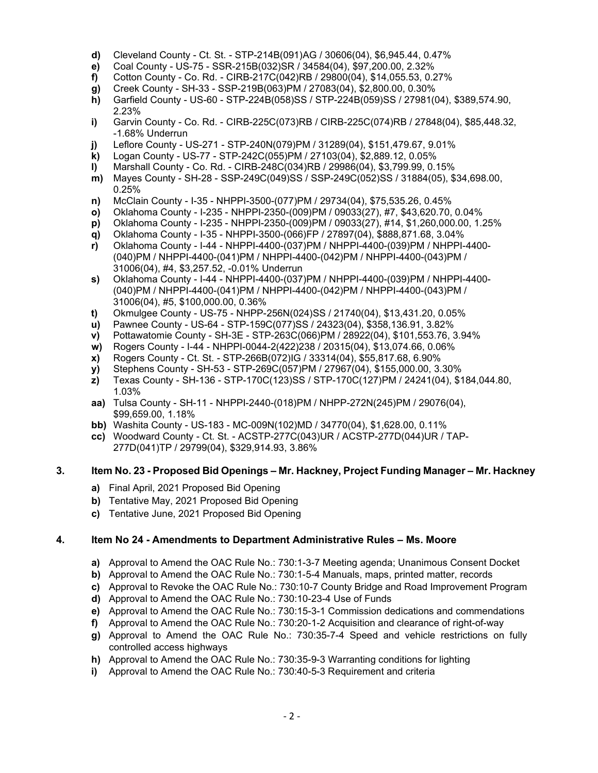- **d)** Cleveland County Ct. St. STP-214B(091)AG / 30606(04), \$6,945.44, 0.47%
- **e)** Coal County US-75 SSR-215B(032)SR / 34584(04), \$97,200.00, 2.32%
- **f)** Cotton County Co. Rd. CIRB-217C(042)RB / 29800(04), \$14,055.53, 0.27%
- **g)** Creek County SH-33 SSP-219B(063)PM / 27083(04), \$2,800.00, 0.30%
- **h)** Garfield County US-60 STP-224B(058)SS / STP-224B(059)SS / 27981(04), \$389,574.90, 2.23%
- **i)** Garvin County Co. Rd. CIRB-225C(073)RB / CIRB-225C(074)RB / 27848(04), \$85,448.32, -1.68% Underrun
- **j)** Leflore County US-271 STP-240N(079)PM / 31289(04), \$151,479.67, 9.01%
- **k)** Logan County US-77 STP-242C(055)PM / 27103(04), \$2,889.12, 0.05%
- **l)** Marshall County Co. Rd. CIRB-248C(034)RB / 29986(04), \$3,799.99, 0.15%
- **m)** Mayes County SH-28 SSP-249C(049)SS / SSP-249C(052)SS / 31884(05), \$34,698.00, 0.25%
- **n)** McClain County I-35 NHPPI-3500-(077)PM / 29734(04), \$75,535.26, 0.45%
- **o)** Oklahoma County I-235 NHPPI-2350-(009)PM / 09033(27), #7, \$43,620.70, 0.04%
- **p)** Oklahoma County I-235 NHPPI-2350-(009)PM / 09033(27), #14, \$1,260,000.00, 1.25%
- **q)** Oklahoma County I-35 NHPPI-3500-(066)FP / 27897(04), \$888,871.68, 3.04%
- **r)** Oklahoma County I-44 NHPPI-4400-(037)PM / NHPPI-4400-(039)PM / NHPPI-4400- (040)PM / NHPPI-4400-(041)PM / NHPPI-4400-(042)PM / NHPPI-4400-(043)PM / 31006(04), #4, \$3,257.52, -0.01% Underrun
- **s)** Oklahoma County I-44 NHPPI-4400-(037)PM / NHPPI-4400-(039)PM / NHPPI-4400- (040)PM / NHPPI-4400-(041)PM / NHPPI-4400-(042)PM / NHPPI-4400-(043)PM / 31006(04), #5, \$100,000.00, 0.36%
- **t)** Okmulgee County US-75 NHPP-256N(024)SS / 21740(04), \$13,431.20, 0.05%
- **u)** Pawnee County US-64 STP-159C(077)SS / 24323(04), \$358,136.91, 3.82%
- **v)** Pottawatomie County SH-3E STP-263C(066)PM / 28922(04), \$101,553.76, 3.94%
- **w)** Rogers County I-44 NHPPI-0044-2(422)238 / 20315(04), \$13,074.66, 0.06%
- **x)** Rogers County Ct. St. STP-266B(072)IG / 33314(04), \$55,817.68, 6.90%
- **y)** Stephens County SH-53 STP-269C(057)PM / 27967(04), \$155,000.00, 3.30%
- **z)** Texas County SH-136 STP-170C(123)SS / STP-170C(127)PM / 24241(04), \$184,044.80, 1.03%
- **aa)** Tulsa County SH-11 NHPPI-2440-(018)PM / NHPP-272N(245)PM / 29076(04), \$99,659.00, 1.18%
- **bb)** Washita County US-183 MC-009N(102)MD / 34770(04), \$1,628.00, 0.11%
- **cc)** Woodward County Ct. St. ACSTP-277C(043)UR / ACSTP-277D(044)UR / TAP- 277D(041)TP / 29799(04), \$329,914.93, 3.86%

#### **3. Item No. 23 - Proposed Bid Openings – Mr. Hackney, Project Funding Manager – Mr. Hackney**

- **a)** Final April, 2021 Proposed Bid Opening
- **b)** Tentative May, 2021 Proposed Bid Opening
- **c)** Tentative June, 2021 Proposed Bid Opening

#### **4. Item No 24 - Amendments to Department Administrative Rules – Ms. Moore**

- **a)** Approval to Amend the OAC Rule No.: 730:1-3-7 Meeting agenda; Unanimous Consent Docket
- **b)** Approval to Amend the OAC Rule No.: 730:1-5-4 Manuals, maps, printed matter, records
- **c)** Approval to Revoke the OAC Rule No.: 730:10-7 County Bridge and Road Improvement Program
- **d)** Approval to Amend the OAC Rule No.: 730:10-23-4 Use of Funds
- **e)** Approval to Amend the OAC Rule No.: 730:15-3-1 Commission dedications and commendations
- **f)** Approval to Amend the OAC Rule No.: 730:20-1-2 Acquisition and clearance of right-of-way
- **g)** Approval to Amend the OAC Rule No.: 730:35-7-4 Speed and vehicle restrictions on fully controlled access highways
- **h)** Approval to Amend the OAC Rule No.: 730:35-9-3 Warranting conditions for lighting
- **i)** Approval to Amend the OAC Rule No.: 730:40-5-3 Requirement and criteria